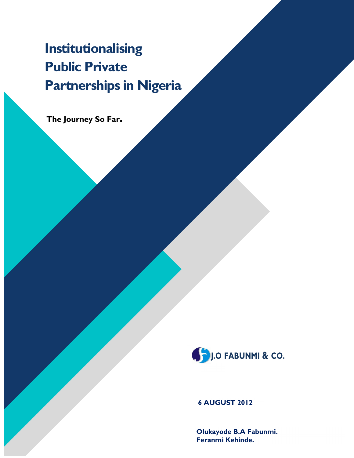# Institutionalising Public Private Partnerships in Nigeria

The Journey So Far.



6 AUGUST 2012

Olukayode B.A Fabunmi. Feranmi Kehinde.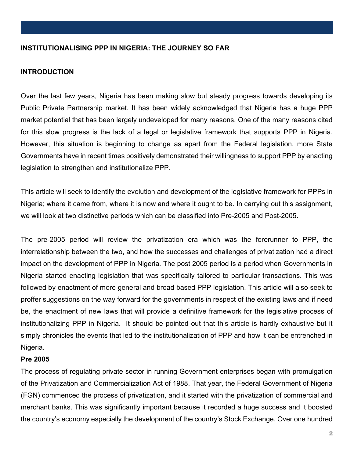## INSTITUTIONALISING PPP IN NIGERIA: THE JOURNEY SO FAR

#### INTRODUCTION

Over the last few years, Nigeria has been making slow but steady progress towards developing its Public Private Partnership market. It has been widely acknowledged that Nigeria has a huge PPP market potential that has been largely undeveloped for many reasons. One of the many reasons cited for this slow progress is the lack of a legal or legislative framework that supports PPP in Nigeria. However, this situation is beginning to change as apart from the Federal legislation, more State Governments have in recent times positively demonstrated their willingness to support PPP by enacting legislation to strengthen and institutionalize PPP.

This article will seek to identify the evolution and development of the legislative framework for PPPs in Nigeria; where it came from, where it is now and where it ought to be. In carrying out this assignment, we will look at two distinctive periods which can be classified into Pre-2005 and Post-2005.

The pre-2005 period will review the privatization era which was the forerunner to PPP, the interrelationship between the two, and how the successes and challenges of privatization had a direct impact on the development of PPP in Nigeria. The post 2005 period is a period when Governments in Nigeria started enacting legislation that was specifically tailored to particular transactions. This was followed by enactment of more general and broad based PPP legislation. This article will also seek to proffer suggestions on the way forward for the governments in respect of the existing laws and if need be, the enactment of new laws that will provide a definitive framework for the legislative process of institutionalizing PPP in Nigeria. It should be pointed out that this article is hardly exhaustive but it simply chronicles the events that led to the institutionalization of PPP and how it can be entrenched in Nigeria.

#### Pre 2005

The process of regulating private sector in running Government enterprises began with promulgation of the Privatization and Commercialization Act of 1988. That year, the Federal Government of Nigeria (FGN) commenced the process of privatization, and it started with the privatization of commercial and merchant banks. This was significantly important because it recorded a huge success and it boosted the country's economy especially the development of the country's Stock Exchange. Over one hundred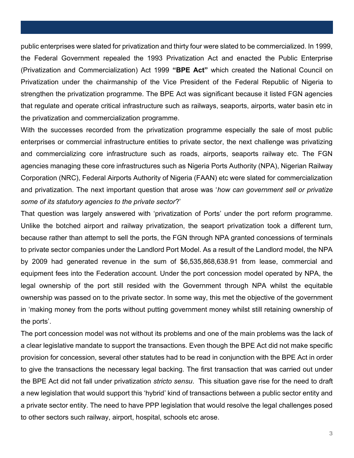public enterprises were slated for privatization and thirty four were slated to be commercialized. In 1999, the Federal Government repealed the 1993 Privatization Act and enacted the Public Enterprise (Privatization and Commercialization) Act 1999 "BPE Act" which created the National Council on Privatization under the chairmanship of the Vice President of the Federal Republic of Nigeria to strengthen the privatization programme. The BPE Act was significant because it listed FGN agencies that regulate and operate critical infrastructure such as railways, seaports, airports, water basin etc in the privatization and commercialization programme.

With the successes recorded from the privatization programme especially the sale of most public enterprises or commercial infrastructure entities to private sector, the next challenge was privatizing and commercializing core infrastructure such as roads, airports, seaports railway etc. The FGN agencies managing these core infrastructures such as Nigeria Ports Authority (NPA), Nigerian Railway Corporation (NRC), Federal Airports Authority of Nigeria (FAAN) etc were slated for commercialization and privatization. The next important question that arose was 'how can government sell or privatize some of its statutory agencies to the private sector?'

That question was largely answered with 'privatization of Ports' under the port reform programme. Unlike the botched airport and railway privatization, the seaport privatization took a different turn, because rather than attempt to sell the ports, the FGN through NPA granted concessions of terminals to private sector companies under the Landlord Port Model. As a result of the Landlord model, the NPA by 2009 had generated revenue in the sum of \$6,535,868,638.91 from lease, commercial and equipment fees into the Federation account. Under the port concession model operated by NPA, the legal ownership of the port still resided with the Government through NPA whilst the equitable ownership was passed on to the private sector. In some way, this met the objective of the government in 'making money from the ports without putting government money whilst still retaining ownership of the ports'.

The port concession model was not without its problems and one of the main problems was the lack of a clear legislative mandate to support the transactions. Even though the BPE Act did not make specific provision for concession, several other statutes had to be read in conjunction with the BPE Act in order to give the transactions the necessary legal backing. The first transaction that was carried out under the BPE Act did not fall under privatization stricto sensu. This situation gave rise for the need to draft a new legislation that would support this 'hybrid' kind of transactions between a public sector entity and a private sector entity. The need to have PPP legislation that would resolve the legal challenges posed to other sectors such railway, airport, hospital, schools etc arose.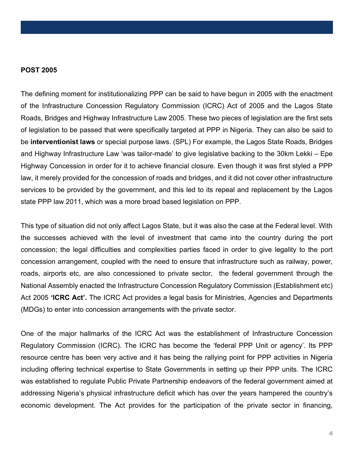### POST 2005

The defining moment for institutionalizing PPP can be said to have begun in 2005 with the enactment of the Infrastructure Concession Regulatory Commission (ICRC) Act of 2005 and the Lagos State Roads, Bridges and Highway Infrastructure Law 2005. These two pieces of legislation are the first sets of legislation to be passed that were specifically targeted at PPP in Nigeria. They can also be said to be interventionist laws or special purpose laws. (SPL) For example, the Lagos State Roads, Bridges and Highway Infrastructure Law 'was tailor-made' to give legislative backing to the 30km Lekki – Epe Highway Concession in order for it to achieve financial closure. Even though it was first styled a PPP law, it merely provided for the concession of roads and bridges, and it did not cover other infrastructure services to be provided by the government, and this led to its repeal and replacement by the Lagos state PPP law 2011, which was a more broad based legislation on PPP.

This type of situation did not only affect Lagos State, but it was also the case at the Federal level. With the successes achieved with the level of investment that came into the country during the port concession; the legal difficulties and complexities parties faced in order to give legality to the port concession arrangement, coupled with the need to ensure that infrastructure such as railway, power, roads, airports etc, are also concessioned to private sector, the federal government through the National Assembly enacted the Infrastructure Concession Regulatory Commission (Establishment etc) Act 2005 'ICRC Act'. The ICRC Act provides a legal basis for Ministries, Agencies and Departments (MDGs) to enter into concession arrangements with the private sector.

One of the major hallmarks of the ICRC Act was the establishment of Infrastructure Concession Regulatory Commission (ICRC). The ICRC has become the 'federal PPP Unit or agency'. Its PPP resource centre has been very active and it has being the rallying point for PPP activities in Nigeria including offering technical expertise to State Governments in setting up their PPP units. The ICRC was established to regulate Public Private Partnership endeavors of the federal government aimed at addressing Nigeria's physical infrastructure deficit which has over the years hampered the country's economic development. The Act provides for the participation of the private sector in financing,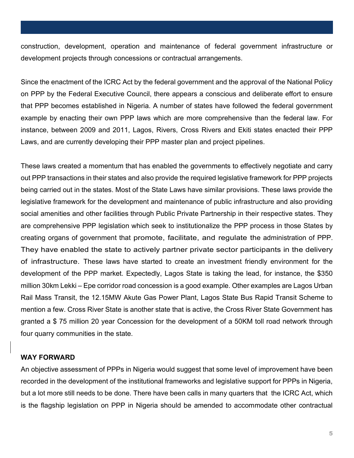construction, development, operation and maintenance of federal government infrastructure or development projects through concessions or contractual arrangements.

Since the enactment of the ICRC Act by the federal government and the approval of the National Policy on PPP by the Federal Executive Council, there appears a conscious and deliberate effort to ensure that PPP becomes established in Nigeria. A number of states have followed the federal government example by enacting their own PPP laws which are more comprehensive than the federal law. For instance, between 2009 and 2011, Lagos, Rivers, Cross Rivers and Ekiti states enacted their PPP Laws, and are currently developing their PPP master plan and project pipelines.

These laws created a momentum that has enabled the governments to effectively negotiate and carry out PPP transactions in their states and also provide the required legislative framework for PPP projects being carried out in the states. Most of the State Laws have similar provisions. These laws provide the legislative framework for the development and maintenance of public infrastructure and also providing social amenities and other facilities through Public Private Partnership in their respective states. They are comprehensive PPP legislation which seek to institutionalize the PPP process in those States by creating organs of government that promote, facilitate, and regulate the administration of PPP. They have enabled the state to actively partner private sector participants in the delivery of infrastructure. These laws have started to create an investment friendly environment for the development of the PPP market. Expectedly, Lagos State is taking the lead, for instance, the \$350 million 30km Lekki – Epe corridor road concession is a good example. Other examples are Lagos Urban Rail Mass Transit, the 12.15MW Akute Gas Power Plant, Lagos State Bus Rapid Transit Scheme to mention a few. Cross River State is another state that is active, the Cross River State Government has granted a \$ 75 million 20 year Concession for the development of a 50KM toll road network through four quarry communities in the state.

### WAY FORWARD

An objective assessment of PPPs in Nigeria would suggest that some level of improvement have been recorded in the development of the institutional frameworks and legislative support for PPPs in Nigeria, but a lot more still needs to be done. There have been calls in many quarters that the ICRC Act, which is the flagship legislation on PPP in Nigeria should be amended to accommodate other contractual